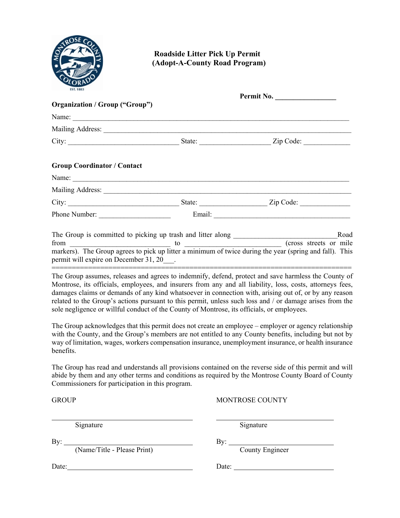

## **Roadside Litter Pick Up Permit (Adopt-A-County Road Program)**

| <b>ESI.</b> 1883                       | Permit No.                                                                                                                                                                                                                     |                                                                                                                                                                                                                                                                                                                                                                                                                                        |
|----------------------------------------|--------------------------------------------------------------------------------------------------------------------------------------------------------------------------------------------------------------------------------|----------------------------------------------------------------------------------------------------------------------------------------------------------------------------------------------------------------------------------------------------------------------------------------------------------------------------------------------------------------------------------------------------------------------------------------|
| <b>Organization / Group ("Group")</b>  |                                                                                                                                                                                                                                |                                                                                                                                                                                                                                                                                                                                                                                                                                        |
|                                        | Name:                                                                                                                                                                                                                          |                                                                                                                                                                                                                                                                                                                                                                                                                                        |
|                                        |                                                                                                                                                                                                                                |                                                                                                                                                                                                                                                                                                                                                                                                                                        |
|                                        |                                                                                                                                                                                                                                |                                                                                                                                                                                                                                                                                                                                                                                                                                        |
| <b>Group Coordinator / Contact</b>     |                                                                                                                                                                                                                                |                                                                                                                                                                                                                                                                                                                                                                                                                                        |
|                                        |                                                                                                                                                                                                                                |                                                                                                                                                                                                                                                                                                                                                                                                                                        |
|                                        | Mailing Address: National Address: National Address: National Address: National Address: National Address: National Address: National Address: National Address: National Address: National Address: National Address: Nationa |                                                                                                                                                                                                                                                                                                                                                                                                                                        |
|                                        |                                                                                                                                                                                                                                |                                                                                                                                                                                                                                                                                                                                                                                                                                        |
|                                        |                                                                                                                                                                                                                                |                                                                                                                                                                                                                                                                                                                                                                                                                                        |
|                                        |                                                                                                                                                                                                                                | Road                                                                                                                                                                                                                                                                                                                                                                                                                                   |
| permit will expire on December 31, 20. |                                                                                                                                                                                                                                | from to to the during the year (cross streets or mile markers). The Group agrees to pick up litter a minimum of twice during the year (spring and fall). This                                                                                                                                                                                                                                                                          |
|                                        |                                                                                                                                                                                                                                | The Group assumes, releases and agrees to indemnify, defend, protect and save harmless the County of<br>Montrose, its officials, employees, and insurers from any and all liability, loss, costs, attorneys fees,<br>damages claims or demands of any kind whatsoever in connection with, arising out of, or by any reason<br>related to the Group's actions pursuant to this permit, unless such loss and / or damage arises from the |

The Group acknowledges that this permit does not create an employee – employer or agency relationship with the County, and the Group's members are not entitled to any County benefits, including but not by way of limitation, wages, workers compensation insurance, unemployment insurance, or health insurance benefits.

sole negligence or willful conduct of the County of Montrose, its officials, or employees.

The Group has read and understands all provisions contained on the reverse side of this permit and will abide by them and any other terms and conditions as required by the Montrose County Board of County Commissioners for participation in this program.

GROUP MONTROSE COUNTY

Signature Signature Signature

l

By: By: (Name/Title - Please Print) County Engineer

Date: Date: Date: Date: Date: Date: Date: Date: Date: Date: Date: Date: Date: Date: Date: Date: Date: Date: Date: Date: Date: Date: Date: Date: Date: Date: Date: Date: Date: Date: Date: Date: Date: Date: Date: Date: Date: